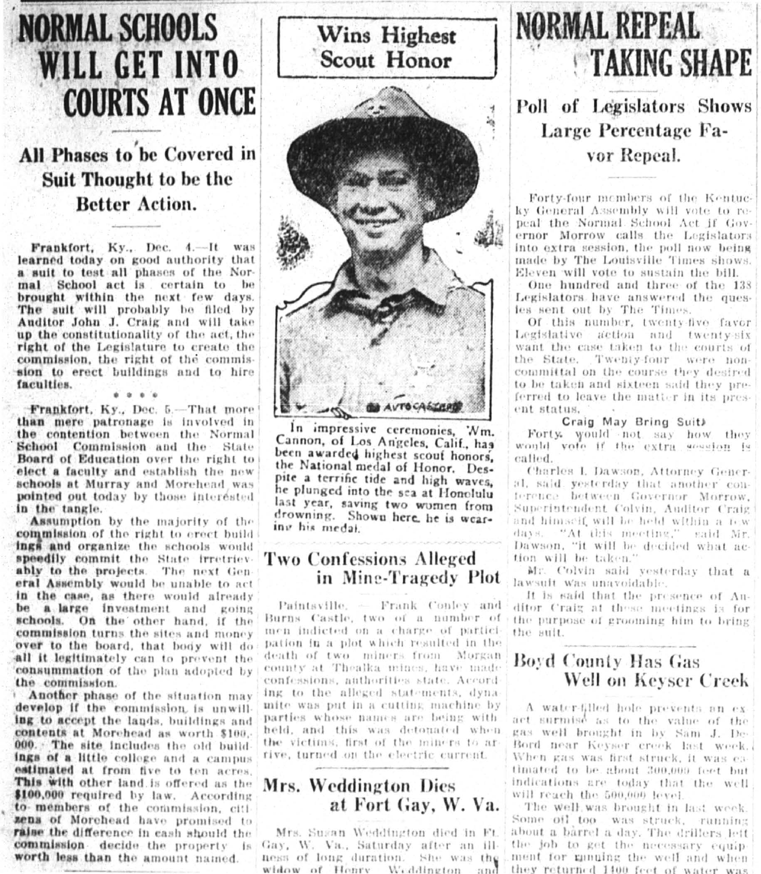# **NORMAL SCHOOLS WILL GET INTO COURTS AT ONCE**

## All Phases to be Covered in Suit Thought to be the **Better Action.**

Frankfort, Ky., Dec. 4.-It was learned today on good authority that a suit to test all phases of the Normal School act is certain to be brought within the next few days. The suit will probably be filed by Auditor John J. Craig and will take up the constitutionality of the act, the right of the Legislature to create the commission, the right of the commission to erect buildings and to hire faculties.

Frankfort, Ky., Dec. 5.-That more than mere patronage is involved in the contention between the Normal School Commission and the State Board of Education over the right to elect a faculty and establish the new schools at Murray and Morehead was pointed out today by those interested in the tangle.

**Assumption** by the majority of the commission of the right to erect build ings and organize the schools would speedily commit the State irretriev ably to the projects. The next Gen eral Assembly would be unable to act in the case, as there would already be a large investment and going schools. On the other hand, if the commission turns the sites and money over to the board, that body will do all it legitimately can to prevent the consummation of the plan adopted by the commission.

Another phase of the situation may develop if the commission is unwilling to accept the lands, buildings and contents at Morehead as worth \$100. 000. The site includes the old build ings of a little college and a campus estimated at from five to ten acres. This with other land is offered as the \$100,000 required by law. According to members of the commission, citi zens of Morehead have promised to raise the difference in eash should the commission decide the property fs: worth less than the amount named.



In impressive ceremonies, 'Nm. Cannon, of Los Angeles, Calif., has been awarded highest scouf honors, the National medal of Honor. Despite a terrific tide and high waves, he plunged into the sea at Honolulu last year, saving two women from drowning. Shown here, he is wearing his medal.

#### **Two Confessions Alleged** in Mine-Tragedy Plot

Paintsville. - Frank Conley and Burns Castle, two of a number of men indicted on a charge of partici pation in a plot which resulted in the death of two miners from Morgan county at Thealka mines, have made confessions, authorities state. Accord ing to the alleged statements, dyna mite was put in a cutting machine by parties whose names are being with held, and this was detouated when the victims, first of the miners to ar rive, turned on the electric current.

#### Mrs. Weddington Dies at Fort Gay, W. Va.

Mrs. Sugan Weddington died in Ft. Gay, W. Va., Saturday after an illness of long duration. She was the widow of Honry Weddington an

# **NORMAL REPEAL TAKING SHAPE**

### Poll of Legislators Shows Large Percentage Favor Repeal.

Forty-four members of the Kentucky General Assembly will vote to repeal the Normal School Act if Governor Morrow calls the Legislators into extra session, the poll now being made by The Louisville Times shows. Eleven will vote to sustain the bill.

One hundred and three of the 138 Legislators have answered the quesies sent out by The Times.

Of this number, twenty-five favor Legislative action and twenty-six want the case taken to the courts of the State. Twenty-four were noncommittal on the course they desired to be taken and sixteen said they preferred to leave the matter in its present status.

#### Craig May Bring Suit)

Forty would not say how they would vote if the extra session is called.

Charles I. Dawson, Attorney General, said yesterday that another conference between Governor Morrow. Superintendent Colvin, Auditor Craig and himself will be held within a few days. "At this meeting," said Mr. Dawson, "it will be decided what action will be taken."

Mr. Colvin said yesterday that a lawsuit was unavoidable.

It is said that the presence of Auditor Craig at these meetings is for the purpose of grooming him to bring the suit.

### Boyd County Has Gas Well on Keyser Creek

A water-filled hole prevents an exact surmise as to the value of the gas well brought in by Sam J. De-Bord near Keyser creek last week. When gas was first struck, it was eatimated to be about 300,009 feet but indications are today that the well will reach the 500,000 level

The well was brought in last week. Some oil too was struck, running about a barrel a day. The drillers left the job to get the necessary equipment for munning the well and when they refurned 1400 feet of water was